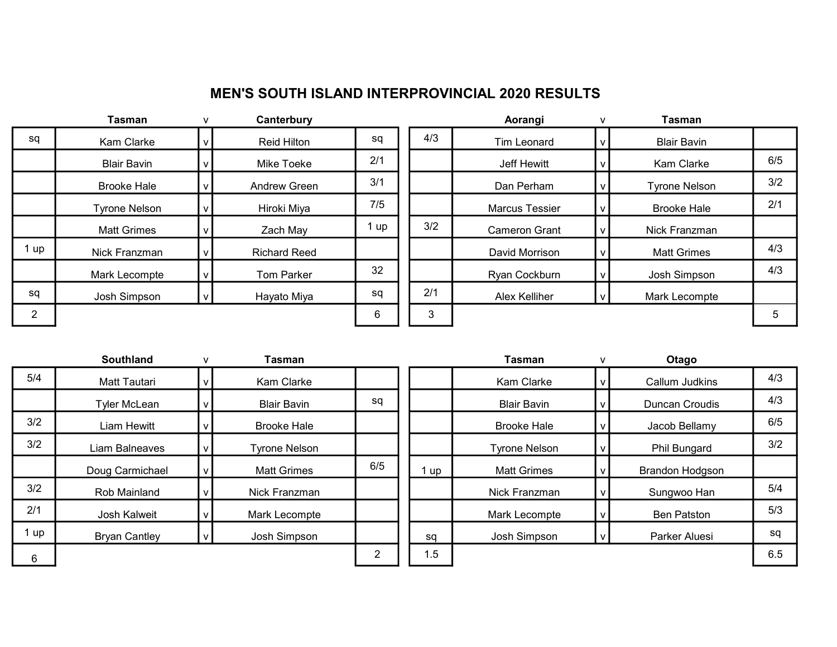## MEN'S SOUTH ISLAND INTERPROVINCIAL 2020 RESULTS

|    | Tasman               | v | Canterbury          |      |     | Aorangi               | $\mathbf{v}$ | <b>Tasman</b>        |     |
|----|----------------------|---|---------------------|------|-----|-----------------------|--------------|----------------------|-----|
| sq | Kam Clarke           |   | Reid Hilton         | sq   | 4/3 | Tim Leonard           |              | <b>Blair Bavin</b>   |     |
|    | <b>Blair Bavin</b>   |   | Mike Toeke          | 2/1  |     | Jeff Hewitt           |              | Kam Clarke           | 6/5 |
|    | <b>Brooke Hale</b>   |   | Andrew Green        | 3/1  |     | Dan Perham            |              | <b>Tyrone Nelson</b> | 3/2 |
|    | <b>Tyrone Nelson</b> |   | Hiroki Miya         | 7/5  |     | <b>Marcus Tessier</b> |              | <b>Brooke Hale</b>   | 2/1 |
|    | <b>Matt Grimes</b>   |   | Zach May            | 1 up | 3/2 | <b>Cameron Grant</b>  |              | Nick Franzman        |     |
| up | Nick Franzman        |   | <b>Richard Reed</b> |      |     | David Morrison        |              | <b>Matt Grimes</b>   | 4/3 |
|    | Mark Lecompte        |   | <b>Tom Parker</b>   | 32   |     | Ryan Cockburn         |              | Josh Simpson         | 4/3 |
| sq | Josh Simpson         |   | Hayato Miya         | sq   | 2/1 | Alex Kelliher         |              | Mark Lecompte        |     |
| 2  |                      |   |                     | 6    | 3   |                       |              |                      | 5   |
|    |                      |   |                     |      |     |                       |              |                      |     |

| Tasman               |              | Canterbury          |     |     | Aorangi               | $\mathsf{V}$ | <b>Tasman</b>        |     |
|----------------------|--------------|---------------------|-----|-----|-----------------------|--------------|----------------------|-----|
| Kam Clarke           |              | Reid Hilton         | sq  | 4/3 | <b>Tim Leonard</b>    | v            | <b>Blair Bavin</b>   |     |
| <b>Blair Bavin</b>   |              | Mike Toeke          | 2/1 |     | Jeff Hewitt           |              | Kam Clarke           | 6/5 |
| <b>Brooke Hale</b>   |              | Andrew Green        | 3/1 |     | Dan Perham            | v            | <b>Tyrone Nelson</b> | 3/2 |
| <b>Tyrone Nelson</b> |              | Hiroki Miya         | 7/5 |     | <b>Marcus Tessier</b> |              | <b>Brooke Hale</b>   | 2/1 |
| <b>Matt Grimes</b>   |              | Zach May            | up  | 3/2 | <b>Cameron Grant</b>  |              | Nick Franzman        |     |
| Nick Franzman        |              | <b>Richard Reed</b> |     |     | David Morrison        | v            | <b>Matt Grimes</b>   | 4/3 |
| Mark Lecompte        | $\mathbf{v}$ | <b>Tom Parker</b>   | 32  |     | Ryan Cockburn         | V            | Josh Simpson         | 4/3 |
| Josh Simpson         |              | Hayato Miya         | sq  | 2/1 | Alex Kelliher         |              | Mark Lecompte        |     |
|                      |              |                     | 6   | 3   |                       |              |                      | 5   |
|                      |              |                     |     |     |                       |              |                      |     |

|     | <b>Southland</b><br>Tasman<br>$\mathsf{V}$ |   |                      |     | Tasman |                      | Otago                 |     |
|-----|--------------------------------------------|---|----------------------|-----|--------|----------------------|-----------------------|-----|
| 5/4 | <b>Matt Tautari</b>                        |   | Kam Clarke           |     |        | Kam Clarke           | Callum Judkins        | 4/3 |
|     | <b>Tyler McLean</b>                        |   | <b>Blair Bavin</b>   | sq  |        | <b>Blair Bavin</b>   | <b>Duncan Croudis</b> | 4/3 |
| 3/2 | Liam Hewitt                                |   | <b>Brooke Hale</b>   |     |        | <b>Brooke Hale</b>   | Jacob Bellamy         | 6/5 |
| 3/2 | Liam Balneaves                             |   | <b>Tyrone Nelson</b> |     |        | <b>Tyrone Nelson</b> | Phil Bungard          | 3/2 |
|     | Doug Carmichael                            | v | <b>Matt Grimes</b>   | 6/5 | i up   | <b>Matt Grimes</b>   | Brandon Hodgson       |     |
| 3/2 | Rob Mainland                               |   | Nick Franzman        |     |        | Nick Franzman        | Sungwoo Han           | 5/4 |
| 2/1 | Josh Kalweit                               |   | Mark Lecompte        |     |        | Mark Lecompte        | <b>Ben Patston</b>    | 5/3 |
| up  | <b>Bryan Cantley</b>                       |   | Josh Simpson         |     | sq     | Josh Simpson         | Parker Aluesi         | sq  |
| 6   |                                            |   |                      | 2   | 1.5    |                      |                       | 6.5 |

| <b>Southland</b>    | $\mathsf{V}$ | Tasman               |                |      | <b>Tasman</b>        |              | Otago                  |     |
|---------------------|--------------|----------------------|----------------|------|----------------------|--------------|------------------------|-----|
| <b>Matt Tautari</b> |              | Kam Clarke           |                |      | Kam Clarke           |              | Callum Judkins         | 4/3 |
| Tyler McLean        |              | <b>Blair Bavin</b>   | sq             |      | <b>Blair Bavin</b>   |              | Duncan Croudis         | 4/3 |
| Liam Hewitt         |              | <b>Brooke Hale</b>   |                |      | <b>Brooke Hale</b>   |              | Jacob Bellamy          | 6/5 |
| iam Balneaves       |              | <b>Tyrone Nelson</b> |                |      | <b>Tyrone Nelson</b> | v            | Phil Bungard           | 3/2 |
| oug Carmichael      | v            | <b>Matt Grimes</b>   | 6/5            | . up | <b>Matt Grimes</b>   | v            | <b>Brandon Hodgson</b> |     |
| Rob Mainland        |              | Nick Franzman        |                |      | Nick Franzman        | $\mathsf{v}$ | Sungwoo Han            | 5/4 |
| Josh Kalweit        |              | Mark Lecompte        |                |      | Mark Lecompte        | v            | <b>Ben Patston</b>     | 5/3 |
| Bryan Cantley       |              | Josh Simpson         |                | sq   | Josh Simpson         | v            | Parker Aluesi          | sq  |
|                     |              |                      | $\overline{2}$ | 1.5  |                      |              |                        | 6.5 |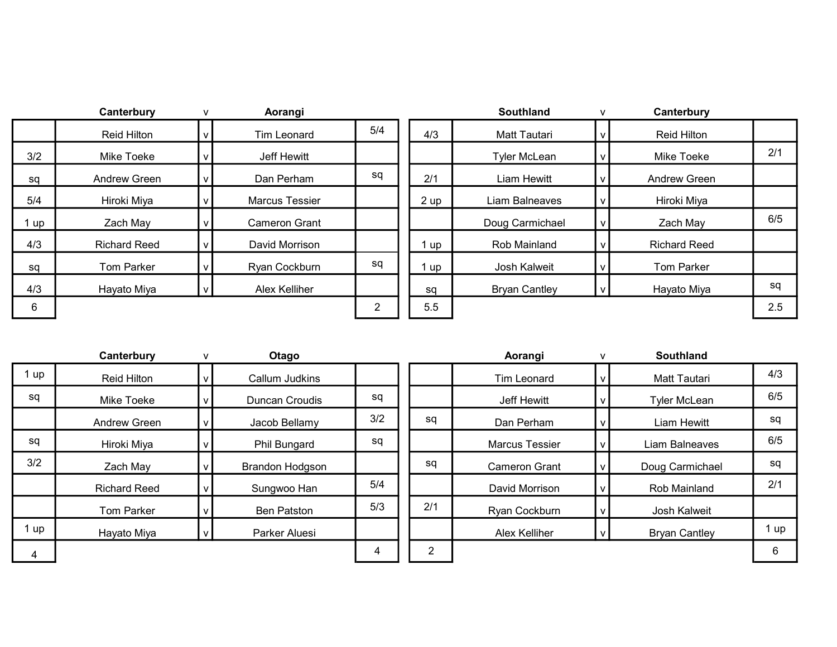|     | Canterbury          | Aorangi               |     |        | Southland            | Canterbury          |     |
|-----|---------------------|-----------------------|-----|--------|----------------------|---------------------|-----|
|     | Reid Hilton         | <b>Tim Leonard</b>    | 5/4 | 4/3    | Matt Tautari         | Reid Hilton         |     |
| 3/2 | Mike Toeke          | Jeff Hewitt           |     |        | <b>Tyler McLean</b>  | Mike Toeke          | 2/1 |
| sq  | Andrew Green        | Dan Perham            | sq  | 2/1    | Liam Hewitt          | Andrew Green        |     |
| 5/4 | Hiroki Miya         | <b>Marcus Tessier</b> |     | 2 up   | Liam Balneaves       | Hiroki Miya         |     |
| up  | Zach May            | <b>Cameron Grant</b>  |     |        | Doug Carmichael      | Zach May            | 6/5 |
| 4/3 | <b>Richard Reed</b> | David Morrison        |     | $I$ up | Rob Mainland         | <b>Richard Reed</b> |     |
| sq  | <b>Tom Parker</b>   | Ryan Cockburn         | sq  | 1 up   | Josh Kalweit         | <b>Tom Parker</b>   |     |
| 4/3 | Hayato Miya         | Alex Kelliher         |     | sq     | <b>Bryan Cantley</b> | Hayato Miya         | sq  |
| 6   |                     |                       | າ   | 5.5    |                      |                     | 2.5 |
|     |                     |                       |     |        |                      |                     |     |

|     | Canterbury          | Aorangi               |     |      | <b>Southland</b>     | v | Canterbury          |     |
|-----|---------------------|-----------------------|-----|------|----------------------|---|---------------------|-----|
|     | <b>Reid Hilton</b>  | Tim Leonard           | 5/4 |      | <b>Matt Tautari</b>  |   | <b>Reid Hilton</b>  |     |
| /2  | Mike Toeke          | Jeff Hewitt           |     |      | <b>Tyler McLean</b>  |   | Mike Toeke          | 2/1 |
| зq  | Andrew Green        | Dan Perham            | sq  | 2/1  | Liam Hewitt          |   | Andrew Green        |     |
| 4/أ | Hiroki Miya         | <b>Marcus Tessier</b> |     | 2 up | Liam Balneaves       |   | Hiroki Miya         |     |
| up  | Zach May            | <b>Cameron Grant</b>  |     |      | Doug Carmichael      | v | Zach May            | 6/5 |
| /3  | <b>Richard Reed</b> | David Morrison        |     | up   | Rob Mainland         |   | <b>Richard Reed</b> |     |
| зq  | <b>Tom Parker</b>   | Ryan Cockburn         | sq  | up   | Josh Kalweit         |   | Tom Parker          |     |
| /3  | Hayato Miya         | Alex Kelliher         |     | sq   | <b>Bryan Cantley</b> |   | Hayato Miya         | sq  |
| 6   |                     |                       | 2   | 5.5  |                      |   |                     | 2.5 |
|     |                     |                       |     |      |                      |   |                     |     |

|      | Canterbury          | Otago                  |     |                | Aorangi               | Southland            |      |
|------|---------------------|------------------------|-----|----------------|-----------------------|----------------------|------|
| 1 up | Reid Hilton         | <b>Callum Judkins</b>  |     |                | Tim Leonard           | <b>Matt Tautari</b>  | 4/3  |
| sq   | Mike Toeke          | Duncan Croudis         | sq  |                | Jeff Hewitt           | <b>Tyler McLean</b>  | 6/5  |
|      | Andrew Green        | Jacob Bellamy          | 3/2 | sq             | Dan Perham            | Liam Hewitt          | sq   |
| sq   | Hiroki Miya         | Phil Bungard           | sq  |                | <b>Marcus Tessier</b> | Liam Balneaves       | 6/5  |
| 3/2  | Zach May            | <b>Brandon Hodgson</b> |     | sq             | <b>Cameron Grant</b>  | Doug Carmichael      | sq   |
|      | <b>Richard Reed</b> | Sungwoo Han            | 5/4 |                | David Morrison        | Rob Mainland         | 2/1  |
|      | <b>Tom Parker</b>   | <b>Ben Patston</b>     | 5/3 | 2/1            | Ryan Cockburn         | Josh Kalweit         |      |
| 1 up | Hayato Miya         | Parker Aluesi          |     |                | Alex Kelliher         | <b>Bryan Cantley</b> | 1 up |
|      |                     |                        | 4   | $\overline{2}$ |                       |                      | 6    |
|      |                     |                        |     |                |                       |                      |      |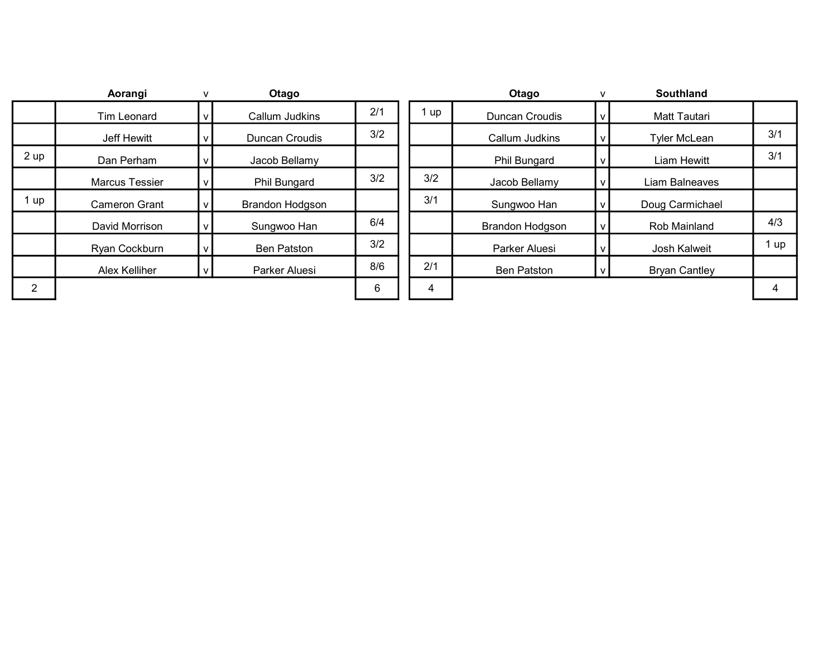|                | Aorangi               |   | Otago                  |     |      | Otago                  |   | Southland            |      |
|----------------|-----------------------|---|------------------------|-----|------|------------------------|---|----------------------|------|
|                | Tim Leonard           | ۷ | Callum Judkins         | 2/1 | l up | Duncan Croudis         | ۷ | Matt Tautari         |      |
|                | Jeff Hewitt           |   | Duncan Croudis         | 3/2 |      | Callum Judkins         |   | <b>Tyler McLean</b>  | 3/1  |
| 2 up           | Dan Perham            |   | Jacob Bellamy          |     |      | Phil Bungard           |   | Liam Hewitt          | 3/1  |
|                | <b>Marcus Tessier</b> |   | Phil Bungard           | 3/2 | 3/2  | Jacob Bellamy          |   | Liam Balneaves       |      |
| 1 up           | <b>Cameron Grant</b>  |   | <b>Brandon Hodgson</b> |     | 3/1  | Sungwoo Han            |   | Doug Carmichael      |      |
|                | David Morrison        |   | Sungwoo Han            | 6/4 |      | <b>Brandon Hodgson</b> |   | Rob Mainland         | 4/3  |
|                | Ryan Cockburn         |   | <b>Ben Patston</b>     | 3/2 |      | Parker Aluesi          |   | Josh Kalweit         | 1 up |
|                | Alex Kelliher         |   | Parker Aluesi          | 8/6 | 2/1  | <b>Ben Patston</b>     |   | <b>Bryan Cantley</b> |      |
| $\overline{2}$ |                       |   |                        | 6   | 4    |                        |   |                      | 4    |
|                |                       |   |                        |     |      |                        |   |                      |      |